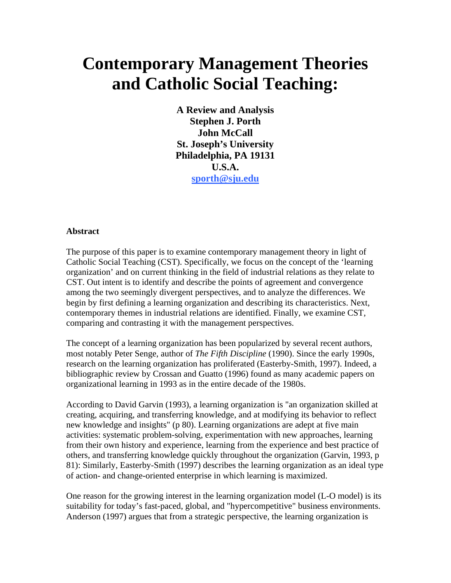# **Contemporary Management Theories and Catholic Social Teaching:**

**A Review and Analysis Stephen J. Porth John McCall St. Joseph's University Philadelphia, PA 19131 U.S.A. [sporth@sju.edu](mailto:sporth@sju.edu)**

#### **Abstract**

The purpose of this paper is to examine contemporary management theory in light of Catholic Social Teaching (CST). Specifically, we focus on the concept of the 'learning organization' and on current thinking in the field of industrial relations as they relate to CST. Out intent is to identify and describe the points of agreement and convergence among the two seemingly divergent perspectives, and to analyze the differences. We begin by first defining a learning organization and describing its characteristics. Next, contemporary themes in industrial relations are identified. Finally, we examine CST, comparing and contrasting it with the management perspectives.

The concept of a learning organization has been popularized by several recent authors, most notably Peter Senge, author of *The Fifth Discipline* (1990). Since the early 1990s, research on the learning organization has proliferated (Easterby-Smith, 1997). Indeed, a bibliographic review by Crossan and Guatto (1996) found as many academic papers on organizational learning in 1993 as in the entire decade of the 1980s.

According to David Garvin (1993), a learning organization is "an organization skilled at creating, acquiring, and transferring knowledge, and at modifying its behavior to reflect new knowledge and insights" (p 80). Learning organizations are adept at five main activities: systematic problem-solving, experimentation with new approaches, learning from their own history and experience, learning from the experience and best practice of others, and transferring knowledge quickly throughout the organization (Garvin, 1993, p 81): Similarly, Easterby-Smith (1997) describes the learning organization as an ideal type of action- and change-oriented enterprise in which learning is maximized.

One reason for the growing interest in the learning organization model (L-O model) is its suitability for today's fast-paced, global, and "hypercompetitive" business environments. Anderson (1997) argues that from a strategic perspective, the learning organization is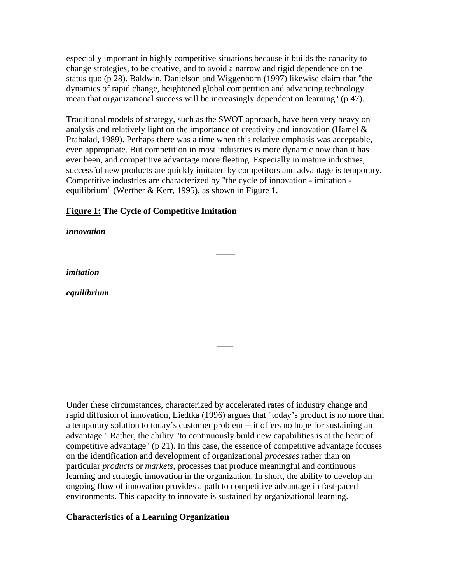especially important in highly competitive situations because it builds the capacity to change strategies, to be creative, and to avoid a narrow and rigid dependence on the status quo (p 28). Baldwin, Danielson and Wiggenhorn (1997) likewise claim that "the dynamics of rapid change, heightened global competition and advancing technology mean that organizational success will be increasingly dependent on learning" (p 47).

Traditional models of strategy, such as the SWOT approach, have been very heavy on analysis and relatively light on the importance of creativity and innovation (Hamel  $\&$ Prahalad, 1989). Perhaps there was a time when this relative emphasis was acceptable, even appropriate. But competition in most industries is more dynamic now than it has ever been, and competitive advantage more fleeting. Especially in mature industries, successful new products are quickly imitated by competitors and advantage is temporary. Competitive industries are characterized by "the cycle of innovation - imitation equilibrium" (Werther & Kerr, 1995), as shown in Figure 1.

### **Figure 1: The Cycle of Competitive Imitation**

#### *innovation*

*imitation*

*equilibrium*

Under these circumstances, characterized by accelerated rates of industry change and rapid diffusion of innovation, Liedtka (1996) argues that "today's product is no more than a temporary solution to today's customer problem -- it offers no hope for sustaining an advantage." Rather, the ability "to continuously build new capabilities is at the heart of competitive advantage" (p 21). In this case, the essence of competitive advantage focuses on the identification and development of organizational *processes* rather than on particular *products* or *markets,* processes that produce meaningful and continuous learning and strategic innovation in the organization. In short, the ability to develop an ongoing flow of innovation provides a path to competitive advantage in fast-paced environments. This capacity to innovate is sustained by organizational learning.

### **Characteristics of a Learning Organization**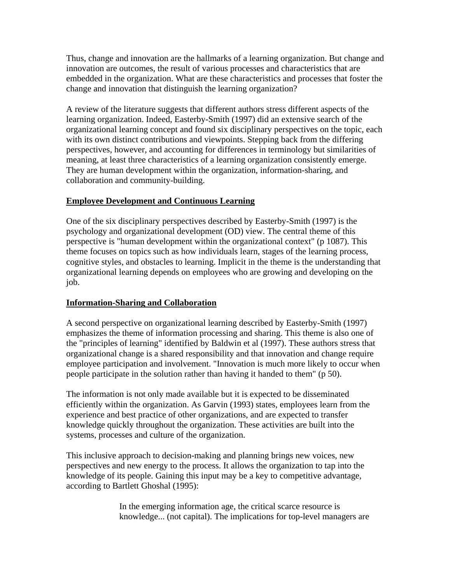Thus, change and innovation are the hallmarks of a learning organization. But change and innovation are outcomes, the result of various processes and characteristics that are embedded in the organization. What are these characteristics and processes that foster the change and innovation that distinguish the learning organization?

A review of the literature suggests that different authors stress different aspects of the learning organization. Indeed, Easterby-Smith (1997) did an extensive search of the organizational learning concept and found six disciplinary perspectives on the topic, each with its own distinct contributions and viewpoints. Stepping back from the differing perspectives, however, and accounting for differences in terminology but similarities of meaning, at least three characteristics of a learning organization consistently emerge. They are human development within the organization, information-sharing, and collaboration and community-building.

# **Employee Development and Continuous Learning**

One of the six disciplinary perspectives described by Easterby-Smith (1997) is the psychology and organizational development (OD) view. The central theme of this perspective is "human development within the organizational context" (p 1087). This theme focuses on topics such as how individuals learn, stages of the learning process, cognitive styles, and obstacles to learning. Implicit in the theme is the understanding that organizational learning depends on employees who are growing and developing on the job.

# **Information-Sharing and Collaboration**

A second perspective on organizational learning described by Easterby-Smith (1997) emphasizes the theme of information processing and sharing. This theme is also one of the "principles of learning" identified by Baldwin et al (1997). These authors stress that organizational change is a shared responsibility and that innovation and change require employee participation and involvement. "Innovation is much more likely to occur when people participate in the solution rather than having it handed to them" (p 50).

The information is not only made available but it is expected to be disseminated efficiently within the organization. As Garvin (1993) states, employees learn from the experience and best practice of other organizations, and are expected to transfer knowledge quickly throughout the organization. These activities are built into the systems, processes and culture of the organization.

This inclusive approach to decision-making and planning brings new voices, new perspectives and new energy to the process. It allows the organization to tap into the knowledge of its people. Gaining this input may be a key to competitive advantage, according to Bartlett Ghoshal (1995):

> In the emerging information age, the critical scarce resource is knowledge... (not capital). The implications for top-level managers are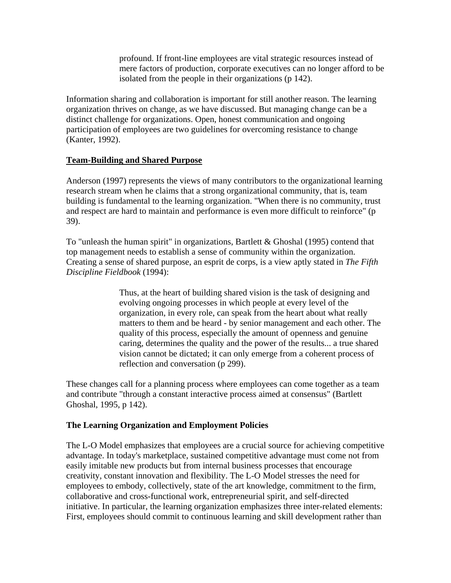profound. If front-line employees are vital strategic resources instead of mere factors of production, corporate executives can no longer afford to be isolated from the people in their organizations (p 142).

Information sharing and collaboration is important for still another reason. The learning organization thrives on change, as we have discussed. But managing change can be a distinct challenge for organizations. Open, honest communication and ongoing participation of employees are two guidelines for overcoming resistance to change (Kanter, 1992).

# **Team-Building and Shared Purpose**

Anderson (1997) represents the views of many contributors to the organizational learning research stream when he claims that a strong organizational community, that is, team building is fundamental to the learning organization. "When there is no community, trust and respect are hard to maintain and performance is even more difficult to reinforce" (p 39).

To "unleash the human spirit" in organizations, Bartlett & Ghoshal (1995) contend that top management needs to establish a sense of community within the organization. Creating a sense of shared purpose, an esprit de corps, is a view aptly stated in *The Fifth Discipline Fieldbook* (1994):

> Thus, at the heart of building shared vision is the task of designing and evolving ongoing processes in which people at every level of the organization, in every role, can speak from the heart about what really matters to them and be heard - by senior management and each other. The quality of this process, especially the amount of openness and genuine caring, determines the quality and the power of the results... a true shared vision cannot be dictated; it can only emerge from a coherent process of reflection and conversation (p 299).

These changes call for a planning process where employees can come together as a team and contribute "through a constant interactive process aimed at consensus" (Bartlett Ghoshal, 1995, p 142).

# **The Learning Organization and Employment Policies**

The L-O Model emphasizes that employees are a crucial source for achieving competitive advantage. In today's marketplace, sustained competitive advantage must come not from easily imitable new products but from internal business processes that encourage creativity, constant innovation and flexibility. The L-O Model stresses the need for employees to embody, collectively, state of the art knowledge, commitment to the firm, collaborative and cross-functional work, entrepreneurial spirit, and self-directed initiative. In particular, the learning organization emphasizes three inter-related elements: First, employees should commit to continuous learning and skill development rather than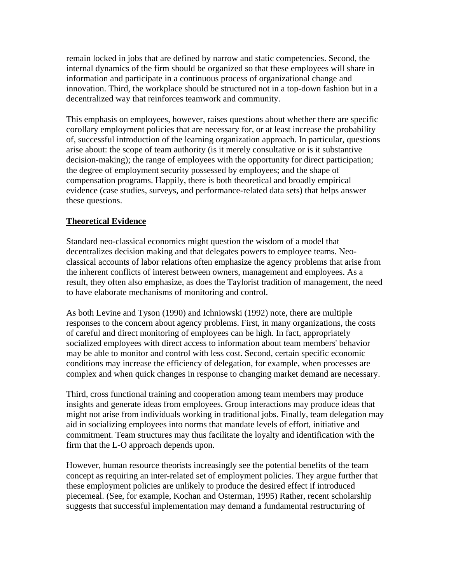remain locked in jobs that are defined by narrow and static competencies. Second, the internal dynamics of the firm should be organized so that these employees will share in information and participate in a continuous process of organizational change and innovation. Third, the workplace should be structured not in a top-down fashion but in a decentralized way that reinforces teamwork and community.

This emphasis on employees, however, raises questions about whether there are specific corollary employment policies that are necessary for, or at least increase the probability of, successful introduction of the learning organization approach. In particular, questions arise about: the scope of team authority (is it merely consultative or is it substantive decision-making); the range of employees with the opportunity for direct participation; the degree of employment security possessed by employees; and the shape of compensation programs. Happily, there is both theoretical and broadly empirical evidence (case studies, surveys, and performance-related data sets) that helps answer these questions.

## **Theoretical Evidence**

Standard neo-classical economics might question the wisdom of a model that decentralizes decision making and that delegates powers to employee teams. Neoclassical accounts of labor relations often emphasize the agency problems that arise from the inherent conflicts of interest between owners, management and employees. As a result, they often also emphasize, as does the Taylorist tradition of management, the need to have elaborate mechanisms of monitoring and control.

As both Levine and Tyson (1990) and Ichniowski (1992) note, there are multiple responses to the concern about agency problems. First, in many organizations, the costs of careful and direct monitoring of employees can be high. In fact, appropriately socialized employees with direct access to information about team members' behavior may be able to monitor and control with less cost. Second, certain specific economic conditions may increase the efficiency of delegation, for example, when processes are complex and when quick changes in response to changing market demand are necessary.

Third, cross functional training and cooperation among team members may produce insights and generate ideas from employees. Group interactions may produce ideas that might not arise from individuals working in traditional jobs. Finally, team delegation may aid in socializing employees into norms that mandate levels of effort, initiative and commitment. Team structures may thus facilitate the loyalty and identification with the firm that the L-O approach depends upon.

However, human resource theorists increasingly see the potential benefits of the team concept as requiring an inter-related set of employment policies. They argue further that these employment policies are unlikely to produce the desired effect if introduced piecemeal. (See, for example, Kochan and Osterman, 1995) Rather, recent scholarship suggests that successful implementation may demand a fundamental restructuring of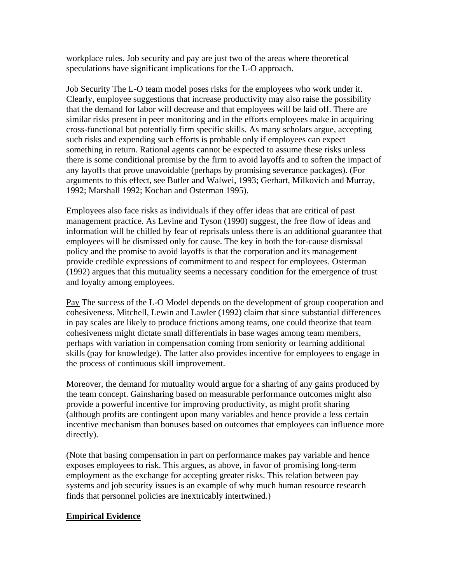workplace rules. Job security and pay are just two of the areas where theoretical speculations have significant implications for the L-O approach.

Job Security The L-O team model poses risks for the employees who work under it. Clearly, employee suggestions that increase productivity may also raise the possibility that the demand for labor will decrease and that employees will be laid off. There are similar risks present in peer monitoring and in the efforts employees make in acquiring cross-functional but potentially firm specific skills. As many scholars argue, accepting such risks and expending such efforts is probable only if employees can expect something in return. Rational agents cannot be expected to assume these risks unless there is some conditional promise by the firm to avoid layoffs and to soften the impact of any layoffs that prove unavoidable (perhaps by promising severance packages). (For arguments to this effect, see Butler and Walwei, 1993; Gerhart, Milkovich and Murray, 1992; Marshall 1992; Kochan and Osterman 1995).

Employees also face risks as individuals if they offer ideas that are critical of past management practice. As Levine and Tyson (1990) suggest, the free flow of ideas and information will be chilled by fear of reprisals unless there is an additional guarantee that employees will be dismissed only for cause. The key in both the for-cause dismissal policy and the promise to avoid layoffs is that the corporation and its management provide credible expressions of commitment to and respect for employees. Osterman (1992) argues that this mutuality seems a necessary condition for the emergence of trust and loyalty among employees.

Pay The success of the L-O Model depends on the development of group cooperation and cohesiveness. Mitchell, Lewin and Lawler (1992) claim that since substantial differences in pay scales are likely to produce frictions among teams, one could theorize that team cohesiveness might dictate small differentials in base wages among team members, perhaps with variation in compensation coming from seniority or learning additional skills (pay for knowledge). The latter also provides incentive for employees to engage in the process of continuous skill improvement.

Moreover, the demand for mutuality would argue for a sharing of any gains produced by the team concept. Gainsharing based on measurable performance outcomes might also provide a powerful incentive for improving productivity, as might profit sharing (although profits are contingent upon many variables and hence provide a less certain incentive mechanism than bonuses based on outcomes that employees can influence more directly).

(Note that basing compensation in part on performance makes pay variable and hence exposes employees to risk. This argues, as above, in favor of promising long-term employment as the exchange for accepting greater risks. This relation between pay systems and job security issues is an example of why much human resource research finds that personnel policies are inextricably intertwined.)

# **Empirical Evidence**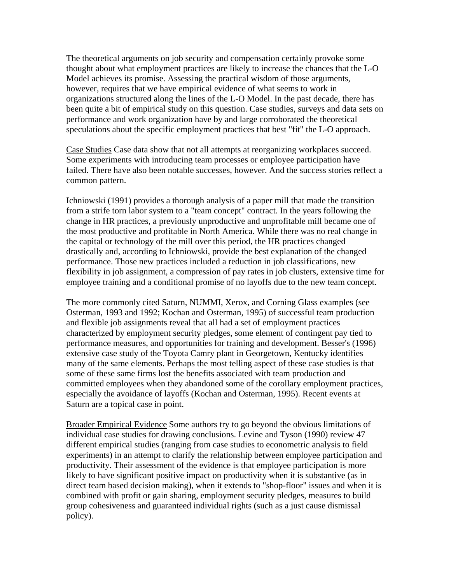The theoretical arguments on job security and compensation certainly provoke some thought about what employment practices are likely to increase the chances that the L-O Model achieves its promise. Assessing the practical wisdom of those arguments, however, requires that we have empirical evidence of what seems to work in organizations structured along the lines of the L-O Model. In the past decade, there has been quite a bit of empirical study on this question. Case studies, surveys and data sets on performance and work organization have by and large corroborated the theoretical speculations about the specific employment practices that best "fit" the L-O approach.

Case Studies Case data show that not all attempts at reorganizing workplaces succeed. Some experiments with introducing team processes or employee participation have failed. There have also been notable successes, however. And the success stories reflect a common pattern.

Ichniowski (1991) provides a thorough analysis of a paper mill that made the transition from a strife torn labor system to a "team concept" contract. In the years following the change in HR practices, a previously unproductive and unprofitable mill became one of the most productive and profitable in North America. While there was no real change in the capital or technology of the mill over this period, the HR practices changed drastically and, according to Ichniowski, provide the best explanation of the changed performance. Those new practices included a reduction in job classifications, new flexibility in job assignment, a compression of pay rates in job clusters, extensive time for employee training and a conditional promise of no layoffs due to the new team concept.

The more commonly cited Saturn, NUMMI, Xerox, and Corning Glass examples (see Osterman, 1993 and 1992; Kochan and Osterman, 1995) of successful team production and flexible job assignments reveal that all had a set of employment practices characterized by employment security pledges, some element of contingent pay tied to performance measures, and opportunities for training and development. Besser's (1996) extensive case study of the Toyota Camry plant in Georgetown, Kentucky identifies many of the same elements. Perhaps the most telling aspect of these case studies is that some of these same firms lost the benefits associated with team production and committed employees when they abandoned some of the corollary employment practices, especially the avoidance of layoffs (Kochan and Osterman, 1995). Recent events at Saturn are a topical case in point.

Broader Empirical Evidence Some authors try to go beyond the obvious limitations of individual case studies for drawing conclusions. Levine and Tyson (1990) review 47 different empirical studies (ranging from case studies to econometric analysis to field experiments) in an attempt to clarify the relationship between employee participation and productivity. Their assessment of the evidence is that employee participation is more likely to have significant positive impact on productivity when it is substantive (as in direct team based decision making), when it extends to "shop-floor" issues and when it is combined with profit or gain sharing, employment security pledges, measures to build group cohesiveness and guaranteed individual rights (such as a just cause dismissal policy).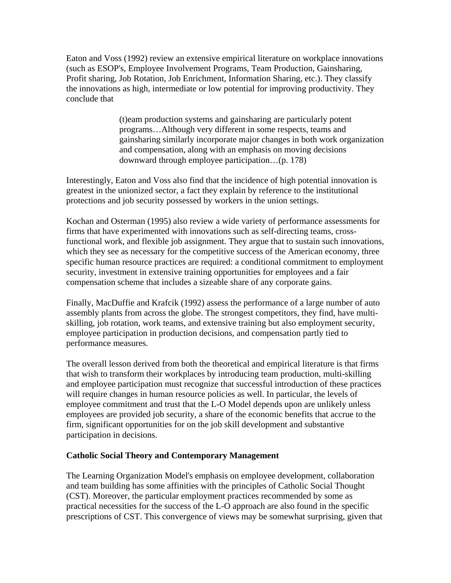Eaton and Voss (1992) review an extensive empirical literature on workplace innovations (such as ESOP's, Employee Involvement Programs, Team Production, Gainsharing, Profit sharing, Job Rotation, Job Enrichment, Information Sharing, etc.). They classify the innovations as high, intermediate or low potential for improving productivity. They conclude that

> (t)eam production systems and gainsharing are particularly potent programs…Although very different in some respects, teams and gainsharing similarly incorporate major changes in both work organization and compensation, along with an emphasis on moving decisions downward through employee participation…(p. 178)

Interestingly, Eaton and Voss also find that the incidence of high potential innovation is greatest in the unionized sector, a fact they explain by reference to the institutional protections and job security possessed by workers in the union settings.

Kochan and Osterman (1995) also review a wide variety of performance assessments for firms that have experimented with innovations such as self-directing teams, crossfunctional work, and flexible job assignment. They argue that to sustain such innovations, which they see as necessary for the competitive success of the American economy, three specific human resource practices are required: a conditional commitment to employment security, investment in extensive training opportunities for employees and a fair compensation scheme that includes a sizeable share of any corporate gains.

Finally, MacDuffie and Krafcik (1992) assess the performance of a large number of auto assembly plants from across the globe. The strongest competitors, they find, have multiskilling, job rotation, work teams, and extensive training but also employment security, employee participation in production decisions, and compensation partly tied to performance measures.

The overall lesson derived from both the theoretical and empirical literature is that firms that wish to transform their workplaces by introducing team production, multi-skilling and employee participation must recognize that successful introduction of these practices will require changes in human resource policies as well. In particular, the levels of employee commitment and trust that the L-O Model depends upon are unlikely unless employees are provided job security, a share of the economic benefits that accrue to the firm, significant opportunities for on the job skill development and substantive participation in decisions.

### **Catholic Social Theory and Contemporary Management**

The Learning Organization Model's emphasis on employee development, collaboration and team building has some affinities with the principles of Catholic Social Thought (CST). Moreover, the particular employment practices recommended by some as practical necessities for the success of the L-O approach are also found in the specific prescriptions of CST. This convergence of views may be somewhat surprising, given that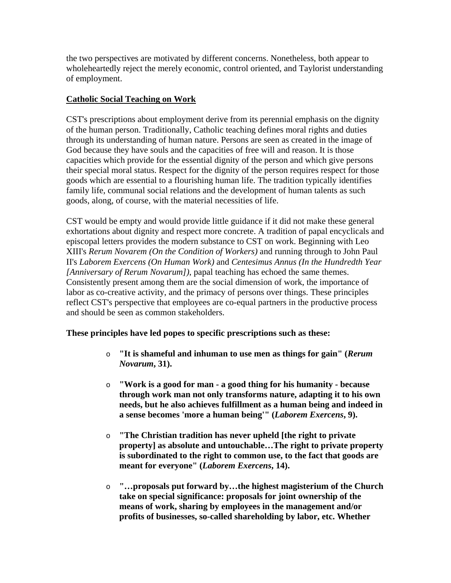the two perspectives are motivated by different concerns. Nonetheless, both appear to wholeheartedly reject the merely economic, control oriented, and Taylorist understanding of employment.

# **Catholic Social Teaching on Work**

CST's prescriptions about employment derive from its perennial emphasis on the dignity of the human person. Traditionally, Catholic teaching defines moral rights and duties through its understanding of human nature. Persons are seen as created in the image of God because they have souls and the capacities of free will and reason. It is those capacities which provide for the essential dignity of the person and which give persons their special moral status. Respect for the dignity of the person requires respect for those goods which are essential to a flourishing human life. The tradition typically identifies family life, communal social relations and the development of human talents as such goods, along, of course, with the material necessities of life.

CST would be empty and would provide little guidance if it did not make these general exhortations about dignity and respect more concrete. A tradition of papal encyclicals and episcopal letters provides the modern substance to CST on work. Beginning with Leo XIII's *Rerum Novarem (On the Condition of Workers)* and running through to John Paul II's *Laborem Exercens (On Human Work)* and *Centesimus Annus (In the Hundredth Year [Anniversary of Rerum Novarum])*, papal teaching has echoed the same themes. Consistently present among them are the social dimension of work, the importance of labor as co-creative activity, and the primacy of persons over things. These principles reflect CST's perspective that employees are co-equal partners in the productive process and should be seen as common stakeholders.

# **These principles have led popes to specific prescriptions such as these:**

- o **"It is shameful and inhuman to use men as things for gain" (***Rerum Novarum***, 31).**
- o **"Work is a good for man a good thing for his humanity because through work man not only transforms nature, adapting it to his own needs, but he also achieves fulfillment as a human being and indeed in a sense becomes 'more a human being'" (***Laborem Exercens***, 9).**
- o **"The Christian tradition has never upheld [the right to private property] as absolute and untouchable…The right to private property is subordinated to the right to common use, to the fact that goods are meant for everyone" (***Laborem Exercens***, 14).**
- o **"…proposals put forward by…the highest magisterium of the Church take on special significance: proposals for joint ownership of the means of work, sharing by employees in the management and/or profits of businesses, so-called shareholding by labor, etc. Whether**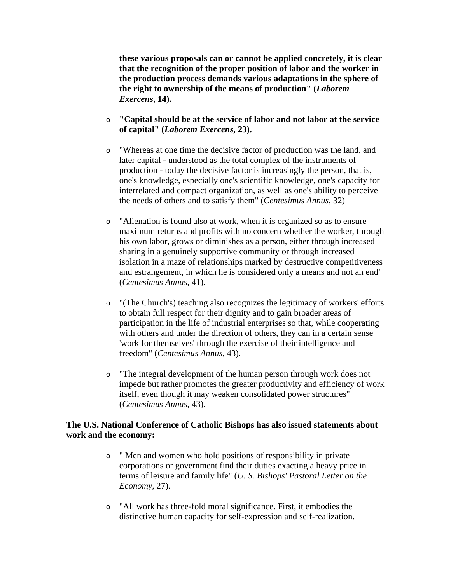**these various proposals can or cannot be applied concretely, it is clear that the recognition of the proper position of labor and the worker in the production process demands various adaptations in the sphere of the right to ownership of the means of production" (***Laborem Exercens***, 14).**

- o **"Capital should be at the service of labor and not labor at the service of capital" (***Laborem Exercens***, 23).**
- o "Whereas at one time the decisive factor of production was the land, and later capital - understood as the total complex of the instruments of production - today the decisive factor is increasingly the person, that is, one's knowledge, especially one's scientific knowledge, one's capacity for interrelated and compact organization, as well as one's ability to perceive the needs of others and to satisfy them" (*Centesimus Annus*, 32)
- o "Alienation is found also at work, when it is organized so as to ensure maximum returns and profits with no concern whether the worker, through his own labor, grows or diminishes as a person, either through increased sharing in a genuinely supportive community or through increased isolation in a maze of relationships marked by destructive competitiveness and estrangement, in which he is considered only a means and not an end" (*Centesimus Annus*, 41).
- o "(The Church's) teaching also recognizes the legitimacy of workers' efforts to obtain full respect for their dignity and to gain broader areas of participation in the life of industrial enterprises so that, while cooperating with others and under the direction of others, they can in a certain sense 'work for themselves' through the exercise of their intelligence and freedom" (*Centesimus Annus,* 43)*.*
- o "The integral development of the human person through work does not impede but rather promotes the greater productivity and efficiency of work itself, even though it may weaken consolidated power structures" (*Centesimus Annus*, 43).

## **The U.S. National Conference of Catholic Bishops has also issued statements about work and the economy:**

- o " Men and women who hold positions of responsibility in private corporations or government find their duties exacting a heavy price in terms of leisure and family life" (*U. S. Bishops' Pastoral Letter on the Economy*, 27).
- o "All work has three-fold moral significance. First, it embodies the distinctive human capacity for self-expression and self-realization.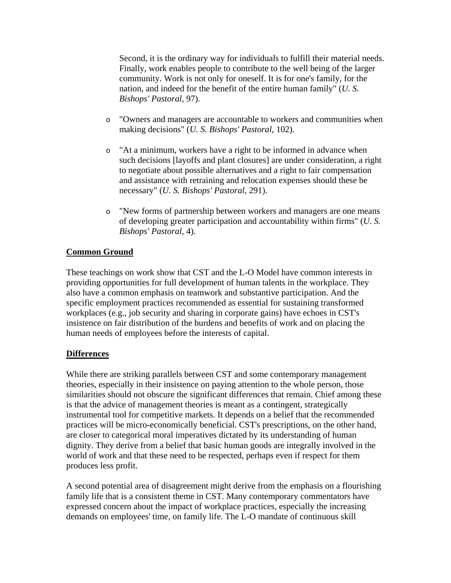Second, it is the ordinary way for individuals to fulfill their material needs. Finally, work enables people to contribute to the well being of the larger community. Work is not only for oneself. It is for one's family, for the nation, and indeed for the benefit of the entire human family" (*U. S. Bishops' Pastoral*, 97).

- o "Owners and managers are accountable to workers and communities when making decisions" (*U. S. Bishops' Pastoral*, 102).
- o "At a minimum, workers have a right to be informed in advance when such decisions [layoffs and plant closures] are under consideration, a right to negotiate about possible alternatives and a right to fair compensation and assistance with retraining and relocation expenses should these be necessary" (*U. S. Bishops' Pastoral,* 291).
- o "New forms of partnership between workers and managers are one means of developing greater participation and accountability within firms" (*U. S. Bishops' Pastoral*, 4).

# **Common Ground**

These teachings on work show that CST and the L-O Model have common interests in providing opportunities for full development of human talents in the workplace. They also have a common emphasis on teamwork and substantive participation. And the specific employment practices recommended as essential for sustaining transformed workplaces (e.g., job security and sharing in corporate gains) have echoes in CST's insistence on fair distribution of the burdens and benefits of work and on placing the human needs of employees before the interests of capital.

# **Differences**

While there are striking parallels between CST and some contemporary management theories, especially in their insistence on paying attention to the whole person, those similarities should not obscure the significant differences that remain. Chief among these is that the advice of management theories is meant as a contingent, strategically instrumental tool for competitive markets. It depends on a belief that the recommended practices will be micro-economically beneficial. CST's prescriptions, on the other hand, are closer to categorical moral imperatives dictated by its understanding of human dignity. They derive from a belief that basic human goods are integrally involved in the world of work and that these need to be respected, perhaps even if respect for them produces less profit.

A second potential area of disagreement might derive from the emphasis on a flourishing family life that is a consistent theme in CST. Many contemporary commentators have expressed concern about the impact of workplace practices, especially the increasing demands on employees' time, on family life. The L-O mandate of continuous skill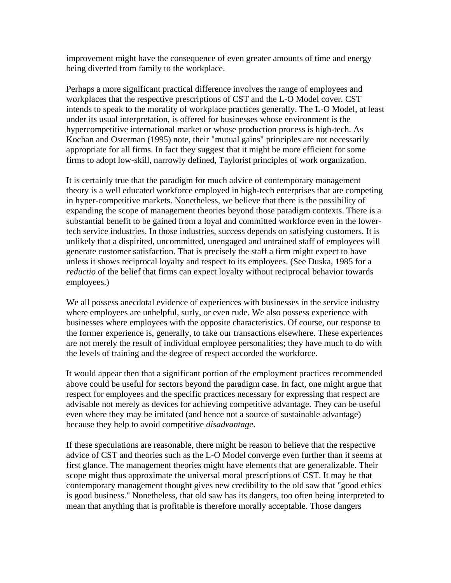improvement might have the consequence of even greater amounts of time and energy being diverted from family to the workplace.

Perhaps a more significant practical difference involves the range of employees and workplaces that the respective prescriptions of CST and the L-O Model cover. CST intends to speak to the morality of workplace practices generally. The L-O Model, at least under its usual interpretation, is offered for businesses whose environment is the hypercompetitive international market or whose production process is high-tech. As Kochan and Osterman (1995) note, their "mutual gains" principles are not necessarily appropriate for all firms. In fact they suggest that it might be more efficient for some firms to adopt low-skill, narrowly defined, Taylorist principles of work organization.

It is certainly true that the paradigm for much advice of contemporary management theory is a well educated workforce employed in high-tech enterprises that are competing in hyper-competitive markets. Nonetheless, we believe that there is the possibility of expanding the scope of management theories beyond those paradigm contexts. There is a substantial benefit to be gained from a loyal and committed workforce even in the lowertech service industries. In those industries, success depends on satisfying customers. It is unlikely that a dispirited, uncommitted, unengaged and untrained staff of employees will generate customer satisfaction. That is precisely the staff a firm might expect to have unless it shows reciprocal loyalty and respect to its employees. (See Duska, 1985 for a *reductio* of the belief that firms can expect loyalty without reciprocal behavior towards employees.)

We all possess anecdotal evidence of experiences with businesses in the service industry where employees are unhelpful, surly, or even rude. We also possess experience with businesses where employees with the opposite characteristics. Of course, our response to the former experience is, generally, to take our transactions elsewhere. These experiences are not merely the result of individual employee personalities; they have much to do with the levels of training and the degree of respect accorded the workforce.

It would appear then that a significant portion of the employment practices recommended above could be useful for sectors beyond the paradigm case. In fact, one might argue that respect for employees and the specific practices necessary for expressing that respect are advisable not merely as devices for achieving competitive advantage. They can be useful even where they may be imitated (and hence not a source of sustainable advantage) because they help to avoid competitive *disadvantage*.

If these speculations are reasonable, there might be reason to believe that the respective advice of CST and theories such as the L-O Model converge even further than it seems at first glance. The management theories might have elements that are generalizable. Their scope might thus approximate the universal moral prescriptions of CST. It may be that contemporary management thought gives new credibility to the old saw that "good ethics is good business." Nonetheless, that old saw has its dangers, too often being interpreted to mean that anything that is profitable is therefore morally acceptable. Those dangers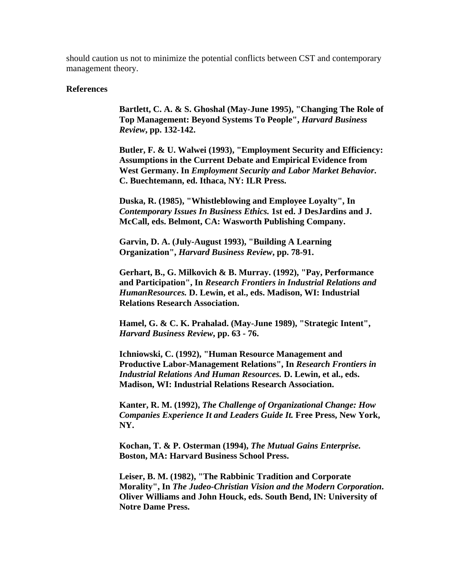should caution us not to minimize the potential conflicts between CST and contemporary management theory.

#### **References**

**Bartlett, C. A. & S. Ghoshal (May-June 1995), "Changing The Role of Top Management: Beyond Systems To People",** *Harvard Business Review***, pp. 132-142.**

**Butler, F. & U. Walwei (1993), "Employment Security and Efficiency: Assumptions in the Current Debate and Empirical Evidence from West Germany. In** *Employment Security and Labor Market Behavior***. C. Buechtemann, ed. Ithaca, NY: ILR Press.**

**Duska, R. (1985), "Whistleblowing and Employee Loyalty", In**  *Contemporary Issues In Business Ethics.* **1st ed. J DesJardins and J. McCall, eds. Belmont, CA: Wasworth Publishing Company.**

**Garvin, D. A. (July-August 1993), "Building A Learning Organization",** *Harvard Business Review***, pp. 78-91.**

**Gerhart, B., G. Milkovich & B. Murray. (1992), "Pay, Performance and Participation", In** *Research Frontiers in Industrial Relations and HumanResources.* **D. Lewin, et al., eds. Madison, WI: Industrial Relations Research Association.**

**Hamel, G. & C. K. Prahalad. (May-June 1989), "Strategic Intent",**  *Harvard Business Review***, pp. 63 - 76.**

**Ichniowski, C. (1992), "Human Resource Management and Productive Labor-Management Relations", In** *Research Frontiers in Industrial Relations And Human Resources.* **D. Lewin, et al., eds. Madison, WI: Industrial Relations Research Association.**

**Kanter, R. M. (1992),** *The Challenge of Organizational Change: How Companies Experience It and Leaders Guide It.* **Free Press, New York, NY.**

**Kochan, T. & P. Osterman (1994),** *The Mutual Gains Enterprise.* **Boston, MA: Harvard Business School Press.**

**Leiser, B. M. (1982), "The Rabbinic Tradition and Corporate Morality", In** *The Judeo-Christian Vision and the Modern Corporation***. Oliver Williams and John Houck, eds. South Bend, IN: University of Notre Dame Press.**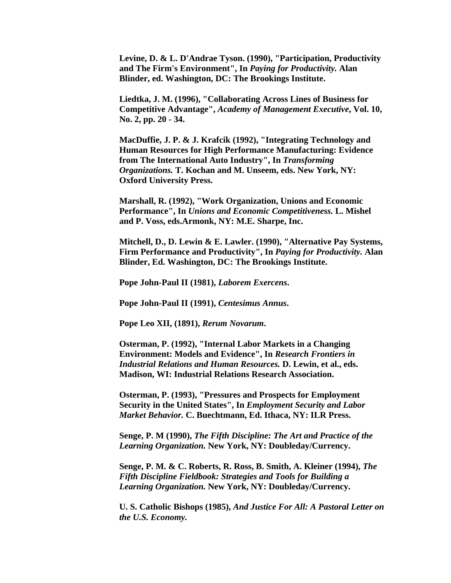**Levine, D. & L. D'Andrae Tyson. (1990), "Participation, Productivity and The Firm's Environment", In** *Paying for Productivity.* **Alan Blinder, ed. Washington, DC: The Brookings Institute.**

**Liedtka, J. M. (1996), "Collaborating Across Lines of Business for Competitive Advantage",** *Academy of Management Executive***, Vol. 10, No. 2, pp. 20 - 34.**

**MacDuffie, J. P. & J. Krafcik (1992), "Integrating Technology and Human Resources for High Performance Manufacturing: Evidence from The International Auto Industry", In** *Transforming Organizations.* **T. Kochan and M. Unseem, eds. New York, NY: Oxford University Press.**

**Marshall, R. (1992), "Work Organization, Unions and Economic Performance", In** *Unions and Economic Competitiveness.* **L. Mishel and P. Voss, eds.Armonk, NY: M.E. Sharpe, Inc.**

**Mitchell, D., D. Lewin & E. Lawler. (1990), "Alternative Pay Systems, Firm Performance and Productivity", In** *Paying for Productivity.* **Alan Blinder, Ed. Washington, DC: The Brookings Institute.**

**Pope John-Paul II (1981),** *Laborem Exercens***.**

**Pope John-Paul II (1991),** *Centesimus Annus***.**

**Pope Leo XII, (1891),** *Rerum Novarum***.**

**Osterman, P. (1992), "Internal Labor Markets in a Changing Environment: Models and Evidence", In** *Research Frontiers in Industrial Relations and Human Resources.* **D. Lewin, et al., eds. Madison, WI: Industrial Relations Research Association.**

**Osterman, P. (1993), "Pressures and Prospects for Employment Security in the United States", In** *Employment Security and Labor Market Behavior.* **C. Buechtmann, Ed. Ithaca, NY: ILR Press.**

**Senge, P. M (1990),** *The Fifth Discipline: The Art and Practice of the Learning Organization.* **New York, NY: Doubleday/Currency.**

**Senge, P. M. & C. Roberts, R. Ross, B. Smith, A. Kleiner (1994),** *The Fifth Discipline Fieldbook: Strategies and Tools for Building a Learning Organization.* **New York, NY: Doubleday/Currency.**

**U. S. Catholic Bishops (1985),** *And Justice For All: A Pastoral Letter on the U.S. Economy.*